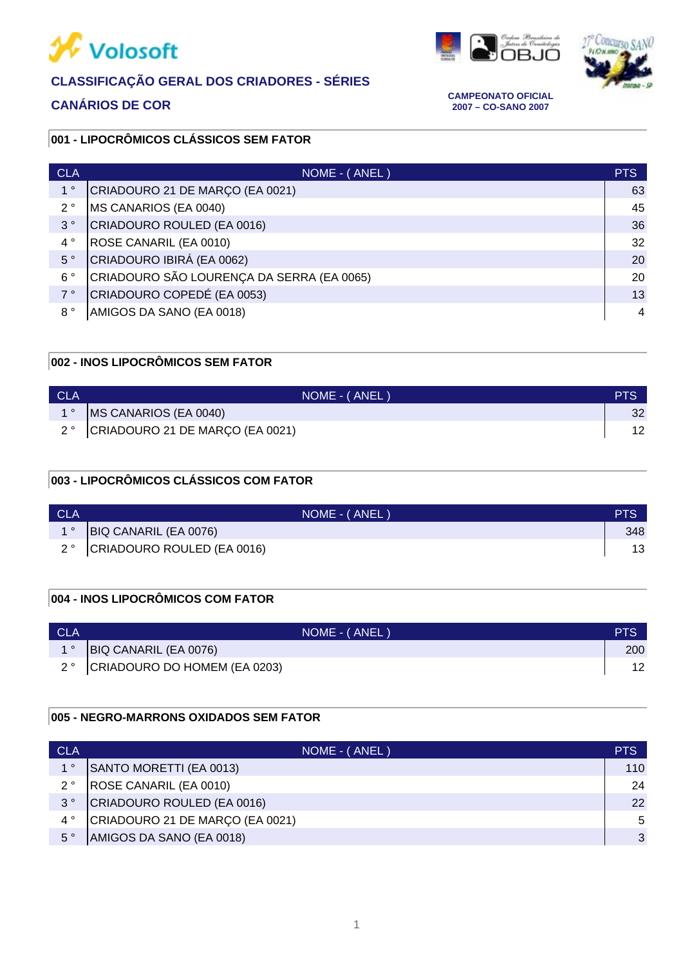

# **CLASSIFICAÇÃO GERAL DOS CRIADORES - SÉRIES**





**CANÁRIOS DE COR CAMPEONATO OFICIAL 2007 – CO-SANO 2007**

#### **001 - LIPOCRÔMICOS CLÁSSICOS SEM FATOR**

| <b>CLA</b>  | $NOME - (ANE)$                            | <b>PTS</b> |
|-------------|-------------------------------------------|------------|
| $1^{\circ}$ | CRIADOURO 21 DE MARÇO (EA 0021)           | 63         |
| $2^{\circ}$ | MS CANARIOS (EA 0040)                     | 45         |
| $3^{\circ}$ | CRIADOURO ROULED (EA 0016)                | 36         |
| $4^{\circ}$ | ROSE CANARIL (EA 0010)                    | 32         |
| $5^{\circ}$ | CRIADOURO IBIRÁ (EA 0062)                 | 20         |
| $6^{\circ}$ | CRIADOURO SÃO LOURENÇA DA SERRA (EA 0065) | 20         |
| $7^{\circ}$ | CRIADOURO COPEDÉ (EA 0053)                | 13         |
| $8^{\circ}$ | AMIGOS DA SANO (EA 0018)                  | 4          |

# **002 - INOS LIPOCRÔMICOS SEM FATOR**

| <b>CLA</b> | NOME - (ANEL)                               | PTS |
|------------|---------------------------------------------|-----|
|            | MS CANARIOS (EA 0040)                       | 32  |
|            | $2^{\circ}$ CRIADOURO 21 DE MARÇO (EA 0021) |     |

## **003 - LIPOCRÔMICOS CLÁSSICOS COM FATOR**

| <b>CLA</b> |                               | NOME - (ANEL) | <b>PTS</b> |
|------------|-------------------------------|---------------|------------|
|            | BIQ CANARIL (EA 0076)         |               | 348        |
|            | 2° CRIADOURO ROULED (EA 0016) |               | 13         |

### **004 - INOS LIPOCRÔMICOS COM FATOR**

| <b>CLA</b> |                                 | NOME - (ANEL) | <b>PTS</b> |
|------------|---------------------------------|---------------|------------|
|            | BIQ CANARIL (EA 0076)           |               | 200        |
|            | 2° CRIADOURO DO HOMEM (EA 0203) |               | 12         |

#### **005 - NEGRO-MARRONS OXIDADOS SEM FATOR**

| <b>CLA</b>  | NOME - (ANEL)                   | <b>PTS</b>   |
|-------------|---------------------------------|--------------|
| 10          | SANTO MORETTI (EA 0013)         | 110          |
| $2^{\circ}$ | ROSE CANARIL (EA 0010)          | 24           |
| $3^{\circ}$ | CRIADOURO ROULED (EA 0016)      | 22           |
| $4^{\circ}$ | CRIADOURO 21 DE MARÇO (EA 0021) | 5            |
| $5^{\circ}$ | AMIGOS DA SANO (EA 0018)        | $\mathbf{3}$ |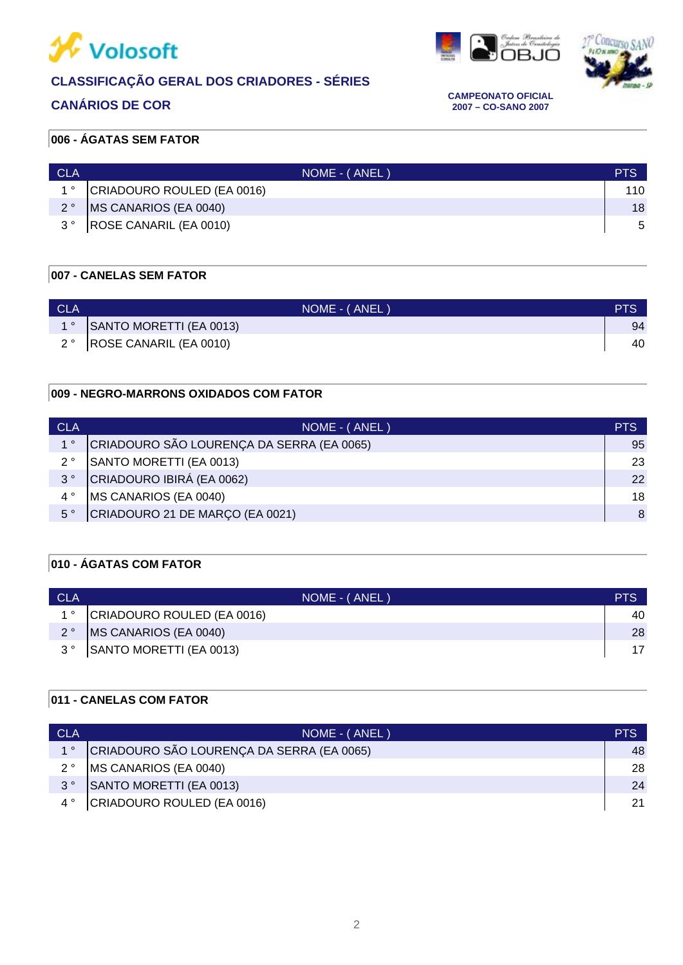

# **CLASSIFICAÇÃO GERAL DOS CRIADORES - SÉRIES**





**CANÁRIOS DE COR CAMPEONATO OFICIAL 2007 – CO-SANO 2007**

### **006 - ÁGATAS SEM FATOR**

| CLA         | NOME - (ANEL)              | <b>PTS</b> |
|-------------|----------------------------|------------|
| $1^{\circ}$ | CRIADOURO ROULED (EA 0016) | 110        |
| $2^{\circ}$ | MS CANARIOS (EA 0040)      | 18         |
| $3^{\circ}$ | ROSE CANARIL (EA 0010)     | -5         |

#### **007 - CANELAS SEM FATOR**

| <b>CLA</b> | NOME - (ANEL)              | <b>PTS</b> |
|------------|----------------------------|------------|
|            | SANTO MORETTI (EA 0013)    | 94         |
|            | 2°  ROSE CANARIL (EA 0010) | 40         |

#### **009 - NEGRO-MARRONS OXIDADOS COM FATOR**

| <b>CLA</b>  | NOME - (ANEL)                             | <b>PTS</b> |
|-------------|-------------------------------------------|------------|
| $1^{\circ}$ | CRIADOURO SÃO LOURENÇA DA SERRA (EA 0065) | 95         |
| $2^{\circ}$ | SANTO MORETTI (EA 0013)                   | 23         |
| $3^{\circ}$ | CRIADOURO IBIRÁ (EA 0062)                 | 22         |
| $4^{\circ}$ | MS CANARIOS (EA 0040)                     | 18         |
| $5^{\circ}$ | CRIADOURO 21 DE MARÇO (EA 0021)           | 8          |

### **010 - ÁGATAS COM FATOR**

| <b>CLA</b>  | NOME - (ANEL)              | <b>PTS</b> |
|-------------|----------------------------|------------|
| $1^{\circ}$ | CRIADOURO ROULED (EA 0016) | 40         |
| $2^{\circ}$ | MS CANARIOS (EA 0040)      | 28         |
| $3^{\circ}$ | SANTO MORETTI (EA 0013)    | 17         |
|             |                            |            |

### **011 - CANELAS COM FATOR**

| <b>CLA</b>  | NOME - (ANEL)                             | <b>PTS</b> |
|-------------|-------------------------------------------|------------|
| $1^{\circ}$ | CRIADOURO SÃO LOURENÇA DA SERRA (EA 0065) | 48         |
| $2^{\circ}$ | MS CANARIOS (EA 0040)                     | 28         |
| $3^{\circ}$ | SANTO MORETTI (EA 0013)                   | 24         |
|             | 4° CRIADOURO ROULED (EA 0016)             | 21         |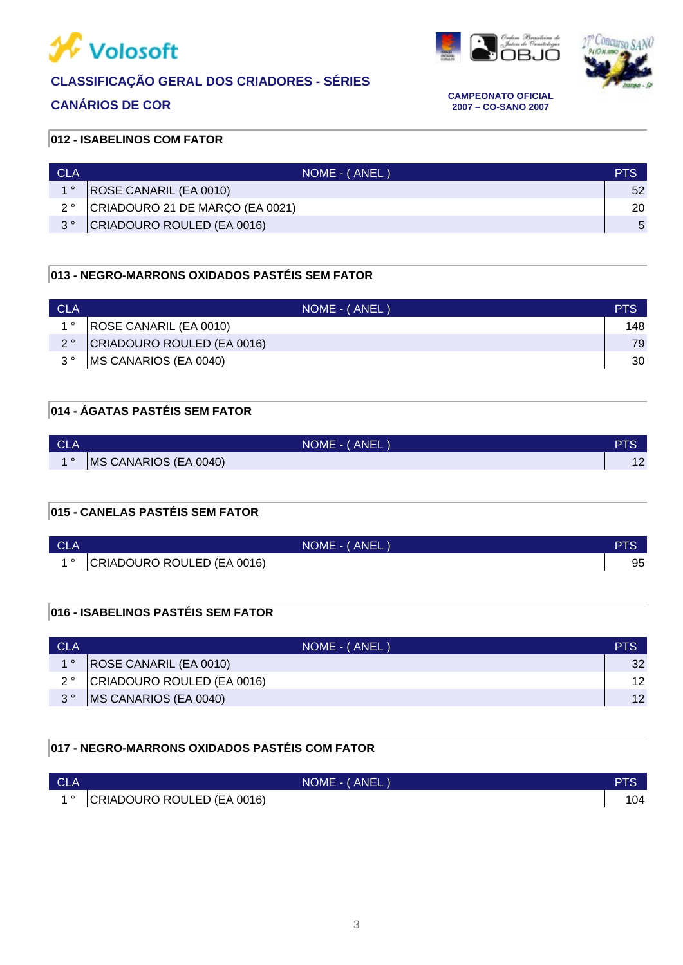

# **CLASSIFICAÇÃO GERAL DOS CRIADORES - SÉRIES**





**CANÁRIOS DE COR CAMPEONATO OFICIAL 2007 – CO-SANO 2007**

#### **012 - ISABELINOS COM FATOR**

| CLA         | NOME - (ANEL)                   | <b>PTS</b> |
|-------------|---------------------------------|------------|
| $1^{\circ}$ | ROSE CANARIL (EA 0010)          | 52         |
| 2°          | CRIADOURO 21 DE MARÇO (EA 0021) | 20         |
| 20          | CRIADOURO ROULED (EA 0016)      | -5         |

#### **013 - NEGRO-MARRONS OXIDADOS PASTÉIS SEM FATOR**

| <b>CLA</b>  | NOME - (ANEL)                 | PTS |
|-------------|-------------------------------|-----|
|             | ROSE CANARIL (EA 0010)        | 148 |
|             | 2° CRIADOURO ROULED (EA 0016) | 79  |
| $3^{\circ}$ | MS CANARIOS (EA 0040)         | 30  |

# **014 - ÁGATAS PASTÉIS SEM FATOR**

| <b>CLA</b> | NOME - (ANEL)         | PTS |
|------------|-----------------------|-----|
| 40         | MS CANARIOS (EA 0040) | 1 L |

#### **015 - CANELAS PASTÉIS SEM FATOR**

| <b>CLA</b> | NOME - (ANEL)                 | <b>PTS.</b> |
|------------|-------------------------------|-------------|
|            | 1° CRIADOURO ROULED (EA 0016) | 95          |

#### **016 - ISABELINOS PASTÉIS SEM FATOR**

| CLA         | NOME - (ANEL)                 | PTS             |
|-------------|-------------------------------|-----------------|
| $1^{\circ}$ | <b>ROSE CANARIL (EA 0010)</b> | 32              |
| $2^{\circ}$ | CRIADOURO ROULED (EA 0016)    | 12.             |
| $3^{\circ}$ | <b>IMS CANARIOS (EA 0040)</b> | 12 <sup>2</sup> |

## **017 - NEGRO-MARRONS OXIDADOS PASTÉIS COM FATOR**

| <b>CLA</b> |                            | NOME - (ANEL) | PTS |
|------------|----------------------------|---------------|-----|
|            | CRIADOURO ROULED (EA 0016) |               |     |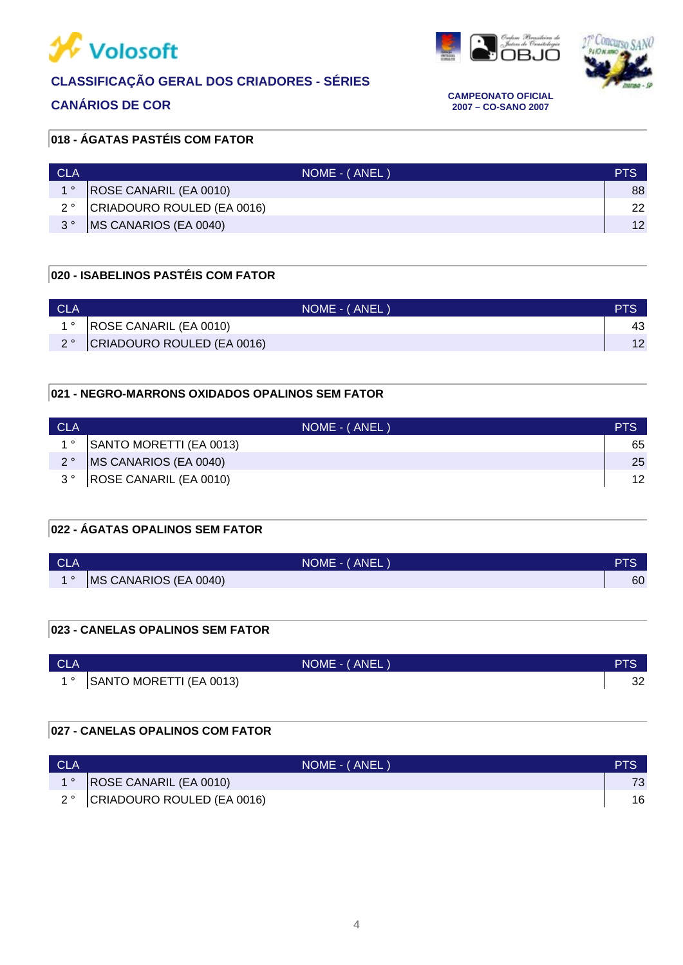







**CANÁRIOS DE COR CAMPEONATO OFICIAL 2007 – CO-SANO 2007**

### **018 - ÁGATAS PASTÉIS COM FATOR**

| CLA         | NOME - (ANEL)                 | PTS |
|-------------|-------------------------------|-----|
| $1^{\circ}$ | <b>ROSE CANARIL (EA 0010)</b> | 88  |
| $2^{\circ}$ | CRIADOURO ROULED (EA 0016)    | 22  |
| $3^{\circ}$ | <b>IMS CANARIOS (EA 0040)</b> | 12  |

#### **020 - ISABELINOS PASTÉIS COM FATOR**

| CLA |                            | NOME - (ANEL) |    |
|-----|----------------------------|---------------|----|
|     | ROSE CANARIL (EA 0010)     |               |    |
|     | CRIADOURO ROULED (EA 0016) |               | 1つ |

#### **021 - NEGRO-MARRONS OXIDADOS OPALINOS SEM FATOR**

| <b>CLA</b>  | NOME - (ANEL)              | PTS |
|-------------|----------------------------|-----|
| $1^{\circ}$ | SANTO MORETTI (EA 0013)    | 65  |
| $2^{\circ}$ | MS CANARIOS (EA 0040)      | 25  |
|             | 3°  ROSE CANARIL (EA 0010) | 12  |

### **022 - ÁGATAS OPALINOS SEM FATOR**

| <b>CLA</b> | NOME - (ANEL)         | DTC<br>a ro |
|------------|-----------------------|-------------|
| 40         | MS CANARIOS (EA 0040) | 60          |

#### **023 - CANELAS OPALINOS SEM FATOR**

| <b>CLA</b> | NOME - (ANEL)              | DTO      |
|------------|----------------------------|----------|
|            | 1° SANTO MORETTI (EA 0013) | າາ<br>ےت |

#### **027 - CANELAS OPALINOS COM FATOR**

| <b>CLA</b> | NOME - (ANEL)                 | PTS |
|------------|-------------------------------|-----|
|            | ROSE CANARIL (EA 0010)        |     |
|            | 2° CRIADOURO ROULED (EA 0016) | 16  |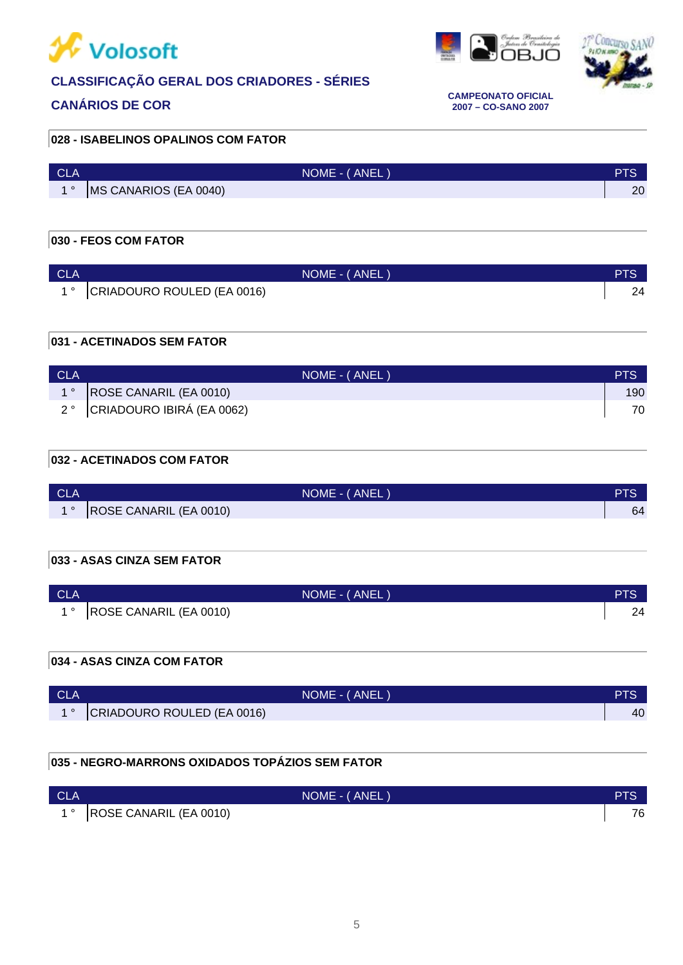



s<br>DBJO



**CANÁRIOS DE COR CAMPEONATO OFICIAL 2007 – CO-SANO 2007**

#### **028 - ISABELINOS OPALINOS COM FATOR**

| <b>CLA</b>                    | NOME - (ANEL)         |    |
|-------------------------------|-----------------------|----|
| $\overline{A}$ $\overline{O}$ | MS CANARIOS (EA 0040) | 20 |

### **030 - FEOS COM FATOR**

| <b>CLA</b> | NOME - (ANEL)                  | PTS |
|------------|--------------------------------|-----|
|            | 1 ° CRIADOURO ROULED (EA 0016) | 24  |

### **031 - ACETINADOS SEM FATOR**

| <b>CLA</b> | NOME - (ANEL)                 | PTS. |
|------------|-------------------------------|------|
|            | ROSE CANARIL (EA 0010)        | 190  |
|            | 2 ° CRIADOURO IBIRÁ (EA 0062) | 70   |

#### **032 - ACETINADOS COM FATOR**

| <b>CLA</b> | NOME - (ANEL)          |    |
|------------|------------------------|----|
|            | ROSE CANARIL (EA 0010) | 64 |

#### **033 - ASAS CINZA SEM FATOR**

| <b>CLA</b> | NOME - (ANEL)               | PTS |
|------------|-----------------------------|-----|
|            | 1 °  ROSE CANARIL (EA 0010) |     |

#### **034 - ASAS CINZA COM FATOR**

| <b>CLA</b> | NOME - (ANEL)              | <b>PTS</b> |
|------------|----------------------------|------------|
|            | CRIADOURO ROULED (EA 0016) | 40         |

# **035 - NEGRO-MARRONS OXIDADOS TOPÁZIOS SEM FATOR**

| <b>CLA</b> | NOME - (ANEL)              | <b>PTS</b> |
|------------|----------------------------|------------|
|            | 1°  ROSE CANARIL (EA 0010) | 76         |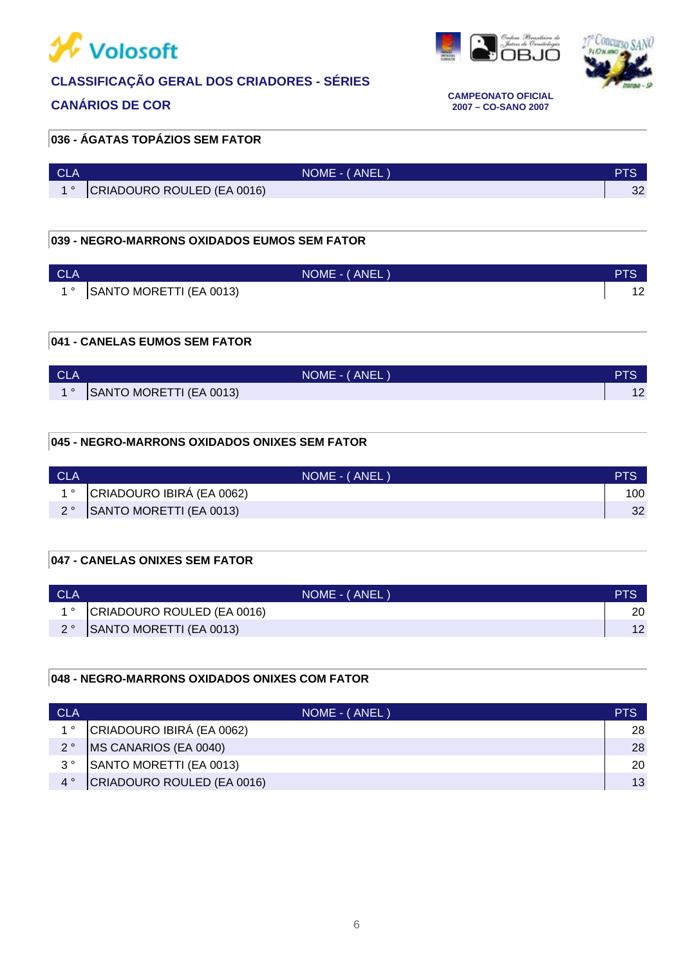



<u>gala</u>



**CANÁRIOS DE COR CAMPEONATO OFICIAL 2007 – CO-SANO 2007**

# **036 - ÁGATAS TOPÁZIOS SEM FATOR**

| <b>CLA</b> | NOME - (ANEL)              | TIO.     |
|------------|----------------------------|----------|
|            | CRIADOURO ROULED (EA 0016) | ົ<br>-SZ |

#### **039 - NEGRO-MARRONS OXIDADOS EUMOS SEM FATOR**

| <b>CLA</b> | NOME - (ANEL)              | <b>PTS</b> |
|------------|----------------------------|------------|
|            | 1° SANTO MORETTI (EA 0013) |            |

#### **041 - CANELAS EUMOS SEM FATOR**

| <b>CLA</b> | NOME - (ANEL)           | PTS |
|------------|-------------------------|-----|
|            | SANTO MORETTI (EA 0013) | 12  |

#### **045 - NEGRO-MARRONS OXIDADOS ONIXES SEM FATOR**

| <b>CLA</b> | NOME - (ANEL)                            | PTS |
|------------|------------------------------------------|-----|
|            | 1 <sup>°</sup> CRIADOURO IBIRÁ (EA 0062) | 100 |
|            | SANTO MORETTI (EA 0013)                  | 32  |

#### **047 - CANELAS ONIXES SEM FATOR**

| <b>CLA</b> | NOME - (ANEL)              |    |
|------------|----------------------------|----|
|            | CRIADOURO ROULED (EA 0016) | 20 |
|            | 2° SANTO MORETTI (EA 0013) | 12 |

#### **048 - NEGRO-MARRONS OXIDADOS ONIXES COM FATOR**

| <b>CLA</b>  | NOME - (ANEL)              | PTS |
|-------------|----------------------------|-----|
| $1^{\circ}$ | CRIADOURO IBIRÁ (EA 0062)  | 28  |
| $2^{\circ}$ | MS CANARIOS (EA 0040)      | 28  |
| $3^{\circ}$ | SANTO MORETTI (EA 0013)    | 20  |
|             | CRIADOURO ROULED (EA 0016) | 13  |